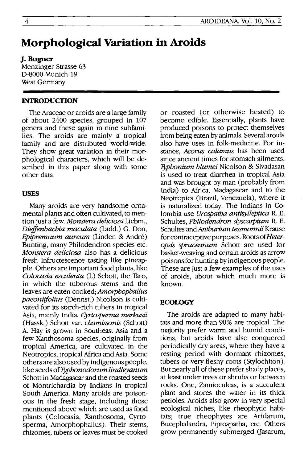# **Morphological Variation in Aroids**

## **J. Bogner**

Menzinger Strasse 63 0-8000 Munich 19 West Germany

#### **INTRODUCTION**

The Araceae or aroids are a large family of about 2400 species, grouped in 107 genera and these again in nine subfamilies. The aroids are mainly a tropical family and are distributed world-wide. They show great variation in their morphological characters, which will be described in this paper along with some other data.

#### **USES**

Many aroids are very handsome ornamental plants and often cultivated, to mention just a few: *Monstera deliciosa* Liebm., *Dieffenbachia maculata* (Ladd.) G. Don, *Epipremnum aureum* (Linden & Andre) Bunting, many Philodendron species etc. *Monstera deliciosa* also has a delicious fresh infructescence tasting like pineapple. Others are important food plants, like *Colocasia esculenta* (L) Schott, the Taro, in which the tuberous stems and the leaves are eaten cooked; *Amorphophallus paeoniifolius* (Oennst.) Nicolson is cultivated for its starch-rich tubers in tropical Asia, mainly India. *Cyrtosperma merkusii*  (Hassk.) Schott var. *chamissonis* (Schott) A. Hay is grown in Southeast Asia and a few Xanthosoma species, originally from tropical America, are cultivated in the Neotropics, tropical Africa and Asia. Some others are also used by indigenous people, like seeds of *Typhonodorum lindleyanum* Schott in Madagascar and the roasted seeds of Montrichardia by Indians in tropical South America. Many aroids are poisonous in the fresh stage, including those mentioned above which are used as food plants (Colocasia, Xanthosoma, Cyrtosperma, Amorphophallus). Their stems, rhizomes, tubers or leaves must be cooked or roasted (or otherwise heated) to become edible. Essentially, plants have produced poisons to protect themselves from being eaten by animals. Several aroids also have uses in folk-medicine. For instance, *Acorus calamus* has been used since ancient times for stomach ailments. *Tjlphonium blumei* Nicolson & Sivadasan is used to treat diarrhea in tropical Asia and was brought by man (probably from India) to Africa, Madagascar and to the Neotropics (Brazil, Venezuela), where it is naturalized today. The Indians in Colombia use *Urospatha antisylleptica* R. E. Schultes, *Philodendron dyscarpium* R. E. Schultes and *Anthurium tessmannii* Krause for contraceptive purposes. Roots *ofHeteropsis spruceanum* Schott are used for basket-weaving and certain aroids as arrow poisons for hunting by indigenous people. These are just a few examples of the uses of aroids, about which much more is known.

#### **ECOLOGY**

The aroids are adapted to many habitats and more than 90% are tropical. The majority prefer warm and humid conditions, but aroids have also conquered periodically dry areas, where they have a resting period with dormant rhizomes, tubers or very fleshy roots (Stylochiton). But nearly all of these prefer shady places, at least under trees or shrubs or between rocks. One, Zamioculcas, is a succulent plant and stores the water in its thick petioles. Aroids also grow in very special ecological niches, like rheophytic habitats; true rheophytes are Aridarum, Bucephalandra, Piptospatha, etc. Others grow permanently submerged Qasarum,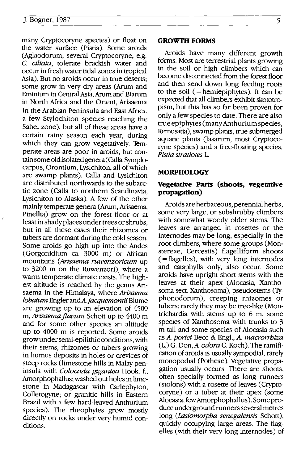many Cryptocoryne species) or float on the water surface (Pistia). Some aroids (Aglaodorum, several Cryptocoryne, e.g. C. *ciliata,* tolerate brackish water and occur in fresh water tidal zones in tropical Asia). But no aroids occur in true deserts· some grow in very dry areas (Arum and Eminium in Central Asia, Arum and Biarum in North Mrica and the Orient, Arisaema in the Arabian Peninsula and East Mrica a few Stylochiton species reaching the Sahel zone), but all of these areas have a certain rainy season each year, during which they can grow vegetatively. Temperate areas are poor in aroids, but containsome old isolated genera (Calla, Symplocarpus, Orontium, Lysichiton, all of which are swamp plants). Calla and Lysichiton are distributed northwards to the subarctic zone (Calla to northern Scandinavia Lysichiton to Alaska). A few of the othe; mainly temperate genera (Arum, Arisaema, Pinellia) grow on the forest floor or at least in shady places under trees or shrubs, but in all these cases their rhizomes or tubers are dormant during the cold season. Some aroids go high up into the Andes (Gorgonidium ca. 3000 m) or Mrican mountains *(Arisaema ruwenzoricum* up to 3200 m on the Ruwenzori), where a warm temperate climate exists. The highest altitude is reached by the genus Arisaema in the Himalaya, where Arisaema *lobatum* Engler *andAjacquemantii* Blume are growing up to an elevation of 4500 m, *Arisaema flavum* Schott up to 4400 m and for some other species an altitude up to 4000 m is reported. Some aroids grow under semi-epilithic conditions, with their stems, rhizomes or tubers growing in humus deposits in holes or crevices of steep rocks (limestone hills in Malay peninsula with *Colocasia gigantea* Hook. f., Amorphophallus; washed out holes in limestone in Madagascar with Carlephyton, Colletogyne; or granitic hills in Eastern Brazil with a few hard-leaved Anthurium species). The rheophytes grow mostly directly on rocks under very humid conditions.

#### **GROWTH FORMS**

Aroids have many different growth forms. Most are terrestrial plants growing in the soil or high climbers which can become disconnected from the forest floor and then send down long feeding roots to the soil (= hemiepiphytes). It can be expected that all climbers exhibit skototropism, but this has so far been proven for only a few species to date. There are also true epiphytes (many Anthurium species, Remusatia), swamp plants, true submerged aquatic plants (Jasarum, most Cryptocoryne species) and a free-floating species, *Pistia stratiotes* L.

#### **MORPHOLOGY**

### **Vegetative Parts (shoots, vegetative propagation)**

Aroids are herbaceous, perennial herbs, some very large, or subshrubby climbers with somewhat woody older stems. The leaves are arranged in rosettes or the internodes may be long, especially in the root climbers, where some groups (Monstereae, Cercestis) flagelliform shoots  $($  = flagelles), with very long internodes and cataphylls only, also occur. Some aroids have upright short stems with the leaves at their apex (Alocasia, Xanthosoma sect. Xanthosoma), pseudostems (Typhonodorum), creeping rhizomes or tubers; rarely they may be tree-like (Montrichardia with stems up to 6 m, some species of Xanthosoma with trunks to 3 m tall and some species of Alocasia such as A *portei* Becc & Engl., A. *macrorrhiza* (L.) G. Don,A *odora* C. Koch). The ramification of aroids is usually sympodial, rarely monopodial (Potheae). Vegetative propagation usually occurs. There are shoots, often specially formed as long runners (stolons) with a rosette of leaves (Cryptocoryne) or a tuber at their apex (some Alocasia, few Amorphophallus). Some produce underground runners several metres long *(Lasiomorpha senegalensis* Schott), quickly occupying large areas. The flagelles (with their very long internodes) of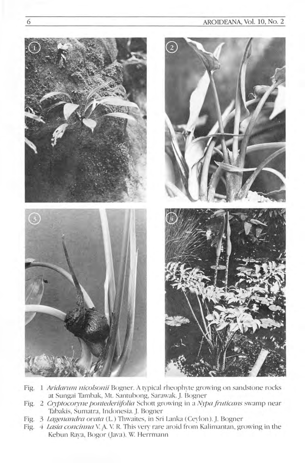## AROIDEANA, Vol. 10, No. 2



- Fig. 1 Aridarum nicolsonii Bogner. A typical rheophyte growing on sandstone rocks at Sungai Tambak, Mt. Santubong, Sarawak. J. Bogner
- Fig. 2 Cryptocoryne pontederiifolia Schott growing in a Nypa fruticans swamp near Tabakis, Sumatra, Indonesia. J. Bogner
- Fig. 3 Lagenandra ovata (L.) Thwaites, in Sri Lanka (Ceylon). J. Bogner
- 4 Lasia concinna V. A. V. R. This very rare aroid from Kalimantan, growing in the Fig. Kebun Rava, Bogor (Java). W. Herrmann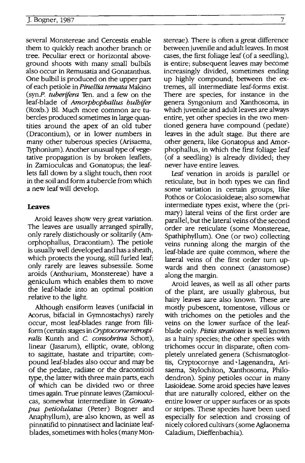several Monstereae and Cercestis enable them to quickly reach another branch or tree. Peculiar erect or horizontal aboveground shoots with many small bulbils also occur in Remusatia and Gonatanthus. One bulbil is produced on the upper part of each petiole in *Pinellia temata* Makino (synP. *tuberifera* Ten. and a few on the leaf-blade of *Amorphophallus bulbifer*  (Roxb.) BI. Much more common are tubercles produced sometimes in large quantities around the apex of an old tuber (Dracontium), or in lower numbers in many other tuberous species (Arisaema, Typhonium). Another unusual type of vegetative propagation is by broken leaflets, in Zamioculcas and Gonatopus; the leaflets fall down by a slight touch, then root in the soil and form a tubercle from which a new leaf will develop.

#### **Leaves**

Aroid leaves show very great variation. The leaves are usually arranged spirally, only rarely distichously or solitarily (Amorphophallus, Dracontium). The petiole is usually well developed and has a sheath, which protects the young, still furled leaf; only rarely are leaves subsessile. Some aroids (Anthurium, Monstereae) have a geniculum which enables them to move the leaf-blade into an optimal position relative to the light.

Although ensiform leaves (unifacial in Acorus, bifacial in Gymnostachys) rarely occur, most leaf-blades range from filiform (certain stages in *Cryptocorne retrospiralis* Kunth and C. *consobrina* Schott), linear (Jasarum), elliptic, ovate, oblong to sagittate, hastate and tripartite; compound leaf-blades also occur and may be of the pedate, radiate or the dracontioid type, the latter with three main parts, each of which can be divided two or three times again. True pinnate leaves (Zamioculcas, somewhat intermediate in *Gonatopus petiolulatus* (Peter) Bogner and Anaphyllum), are- also known, as well as pinnatifid to pinnatisect and laciniate leafblades, sometimes with holes (many Monstereae). There is often a great difference between juvenile and adult leaves. In most cases, the first foliage leaf (of a seedling), is entire; subsequent leaves may become increasingly divided, sometimes ending up highly compound; between the extremes, all intermediate leaf-forms exist. There are species, for instance in the genera Syngonium and Xanthosoma, in which juvenile and adult leaves are always entire, yet other species in the two mentioned genera have compound (pedate) leaves in the adult stage. But there are other genera, like Gonatopus and Amorphophallus, in which the first foliage leaf (of a seedling) is already divided; they never have entire leaves.

Leaf venation in aroids is parallel or reticulate, but in both types we can find some variation in certain groups, like Pothos or Colocasioideae; also somewhat intermediate types exist, where the (primary) lateral veins of the first order are parallel, but the lateral veins of the second order are reticulate (some Monstereae, Spathiphyllum). One (or two) collecting veins running along the margin of the leaf-blade are quite common, where the lateral veins of the first order turn upwards and then connect (anastomose) along the margin.

Aroid leaves, as well as all other parts of the plant, are usually glabrous, but hairy leaves aare also known. These are mostly pubescent, tomentose, villous or with trichomes on the petioles and the veins on the lower surface of the leafblade only. *Pistia stratiotes* is well known as a hairy species; the other species with trichomes occur in disparate, often completely unrelated genera (Schismatoglottis, Cryptocornye and· Lagenandra, Arisaema, Stylochiton, Xanthosoma, Philodendron). Spiny petioles occur in many Lasioideae. Some aroid species have leaves that are naturally colored, either on the entire lower or upper surfaces or as spots or stripes. These species have been used especially for selection and crossing of nicely colored cultivars (some Aglaonema Caladium, Dieffenbachia).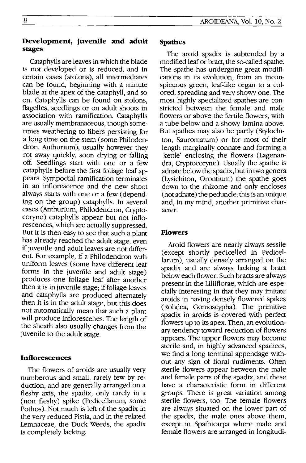## **Development, juvenile and adult stages**

Cataphylls are leaves in which the blade is not developed or is reduced, and in certain cases (stolons), all intermediates can be found, beginning with a minute blade at the apex of the cataphyll, and so on. Cataphylls can be found on stolons, flagelles, seedlings or on adult shoots in association with ramification. Cataphylls are usually membranaceous, though sometimes weathering to fibers persisting for a long time on the stem (some Philodendron, Anthurium); usually however they rot away qUickly, soon drying or falling off. Seedlings start with one or a few cataphylls before the first foliage leaf appears. Sympodial ramification terminates in an inflorescence and the new shoot always starts with one or a few (depending on the group) cataphylls. In several cases (Anthurium, Philodendron, Cryptocoryne) cataphylls appear but not inflorescences, which are actually suppressed. But it is then easy to see that such a plant has already reached the adult stage, even if juvenile and adult leaves are not different. For example, if a Philodendron with uniform leaves (some have different leaf forms in the juverfile and adult stage) produces one foliage leaf after another then it is in juvenile stage; if foliage leaves and cataphylls are produced alternately then it is in the adult stage, but this does not automatically mean that such a plant will produce inflorescenes. The length of the sheath also usually changes from the juvenile to the adult stage.

## **Inflorescences**

The flowers of aroids are usually very numberous and small, rarely few by reduction, and are generally arranged on a fleshy axis, the spadix, only rarely in a (non fleshy) spike (Pedicellarum, some Pothos). Not much is left of the spadix in the very reduced Pistia, and in the related Lemnaceae, the Duck Weeds, the spadix is completely lacking.

#### **Spathes**

The aroid spadix is subtended by a modified leaf or bract, the so-called spathe. The spathe has undergone great modifications in its evolution, from an inconspicuous green, leaf-like organ to a colored, spreading and very showy one. The most highly specialized spathes are constricted between the female and male flowers or above the fertile flowers, with a tube below and a showy lamina above. But spathes may also be partly (Stylochiton, Sauromatum) or for most of their length marginally connate and forming a kettle' enclosing the flowers (Lagenandra, Cryptocoryne). Usually the spathe is adnate below the spadix, but in two genera (Lysichiton, Orontium) the spathe goes down to the rhizome and only encloses (not adnate) the peduncle; this is an unique and, in my mind, another primitive character.

## **Flowers**

Aroid flowers are nearly always sessile (except shortly pedicelled in Pedicellarum), usually densely arranged on the spadix and are always lacking a bract below each flower. Such bracts are always present in the Liliiflorae, which are especially interesting in that they may imitate aroids in having densely flowered spikes (Rohdea, Gonioscypha). The primitive spadix in aroids is covered with perfect flowers up to its apex. Then, an evolutionary tendency toward reduction of flowers appears. The upper flowers may become sterile and, in highly advanced spadices, we find a long terminal appendage without any sign of floral rudiments. Often sterile flowers appear between the male and female parts of the spadix, and these have a characteristic form in different groups. There is great variation among sterile flowers, too. The female flowers are always situated on the lower part of the spadix, the male ones above them, except in Spathicarpa where male and female flowers are arranged in longitudi-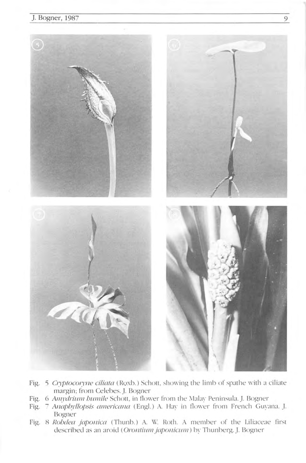

- Fig. 5 Cryptocoryne ciliata (Roxb.) Schott, showing the limb of spathe with a ciliate margin; from Celebes. J. Bogner
- Fig. 6 Amydrium bumile Schott, in flower from the Malay Peninsula. J. Bogner
- Fig. 7 Anaphyllopsis americana (Engl.) A. Hay in flower from French Guyana. J. Bogner
- Fig. 8 Rohdea japonica (Thunb.) A. W. Roth. A member of the Liliaceae first described as an aroid (Orontium japonicum) by Thunberg. J. Bogner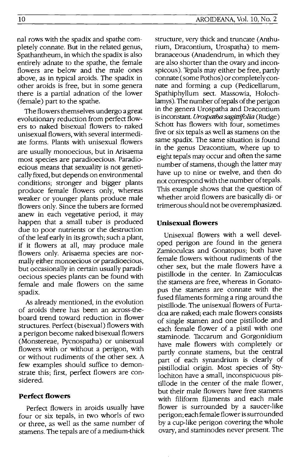nal rows with the spadix and spathe completely connate. But in the related genus, Spathantheum, in which the spadix is also entirely adnate to the spathe, the female flowers are below and the male ones above, as in typical aroids. The spadix in other aroids is free, but in some genera there is a partial adnation of the lower (female) part to the spathe.

The flowers themselves undergo a great evolutionary reduction from perfect flowers to naked bisexual flowers to· naked unisexual flowers, with several intermediate forms. Plants with unisexual flowers are usually monoecious, but in Arisaema most species are paradioecious. Paradioecious means that sexuality is not genetically fixed, but depends on environmental conditions; stronger and bigger plants produce female flowers only, whereas weaker or younger plants produce male flowers only. Since the tubers are formed anew in each vegetative period, it may happen that a small tuber is produced due to poor nutrients or the destruction of the leaf early in its growth; such a plant, if it flowers at all, may produce male flowers only. Arisaema species are normallyeither monoecious or paradioecious, but occasionally in certain usually paradioecious species plants can be found with female and male flowers on the same spadix.

As already mentioned, in the evolution of aroids there has been an across-theboard trend toward reduction in flower structures. Perfect (bisexual) flowers with a perigon become naked bisexual flowers (Monstereae, Pycnospatha) or unisexual flowers with or without a perigon, with or without rudiments of the other sex. A few examples should suffice to demonstrate this; first, perfect flowers are considered.

## **Perfect flowers**

Perfect flowers in aroids usually have four or six tepals, in two whorls of two or three, as well as the same number of stamens. The tepals are of a medium-thick structure, very thick and truncate (Anthurium, Dracontium, Urospatha) to membranaceous (Anadendrum, in which they are also shorter than the ovary and inconspicous). Tepals may either be free, partly connate (some Pothos) or completely connate and forming a cup (Pedicellarum, Spathiphyllum sect. Massowia, Holochlamys). The number of tepals of the perigon in the genera Urospatha and Dracontium is inconstant. *Urospatha sagittifolia* (Rudge) Schott has flowers with four, sometimes five or six tepals as well as stamens on the same spadix. The same situation is found in the genus Dracontium, where up to eight tepals may occur and often the same number of stamens, though the latter may have up to nine or twelve, and then do not correspond with the number of tepals. This example shows that the question of whether aroid flowers are basically di- or trimerous should not be overemphasized.

## **Unisexual flowers**

Unisexual flowers with a well developed perigon are found in the genera Zamioculcas and Gonatopus; both have female flowers without rudiments of the other sex, but the male flowers have a pistillode in the center. In Zamioculcas the stamens are free, whereas in Gonatopus the stamens are connate with the fused filaments forming a ring around the pistillode. The unisexual flowers of Furtadoa are naked; each male flowers consists of single stamen and one pistillode and each female flower of a pistil with one staminode. Taccarum and Gorgonidium have male flowers with completely or partly connate stamens, but the central part of each synandrium is clearly of pistillodial origin. Most species of Stylochiton have a small, inconspicuous pistillode in the center of the male flower, but their male flowers have free stamens with filiform filaments and each male flower is surrounded by a saucer-like perigon; each female flower is surrounded by a cup-like perigon covering the whole ovary, and staminodes never present. The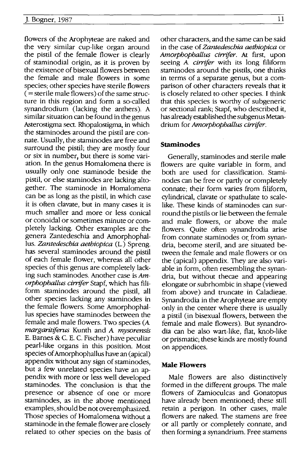flowers of the Arophyteae are naked and the very similar cup-like organ around the pistil of the female flower is clearly of staminodial origin, as it is proven by the existence of bisexual flowers between the female and male flowers in some species; other species have sterile flowers  $($  = sterile male flowers) of the same structure in this region and form a so-called synandrodium (lacking the anthers). A similar situation can be found in the genus Asterostigma sect. Rhopalostigma, in which the staminodes around the pistil are connate. Usually, the staminodes are free and surround the pistil; they are mostly four or six in number, but there is some variation. In the genus Homalomena there is usually only one staminode beside the pistil, or else staminodes are lacking altogether. The staminode in Homalomena can be as long as the pistil, in which case it is often clavate, but in many cases it is much smaller and more or less conical or conoidal or sometimes minute or completely lacking. Other examples are the genera Zantedeschia and Amorphophal-Ius. *Zantedeschia aethiopica* (1.) Spreng. has several staminodes around the pistil of each female flower, whereas all other species of this genus are completely lacking such staminodes. Another case is *Amorphophallus cirrifer* Stapf, which has filiform staminodes around the pistil, all other species lacking any staminodes in the female flowers. Some Amorphophal-Ius species have staminodes between the female and male flowers. Two species *(A. margaritiferus* Kunth and A *mysorensis*  E. Barnes & c. E. C. Fischer) have peculiar pearl-like organs in this position. Most species of Amorphophallus have an (apical) appendix without any sign of staminodes, but a few unrelated species have an appendix with more or less well developed staminodes. The conclusion is that the presence or absence of one or more staminodes, as in the above mentioned examples, should be not overemphasized. Those species of Homalomena without a staminode in the female flower are closely related to other species on the basis of

other characters, and the same can be said in the case of *Zantedeschia aethiopica* or *Amorphophallus cirrifer.* At first, upon seeing A *cirrifer* with its long filiform staminodes around the pistils, one thinks in terms of a separate genus, but a comparison of other characters reveals that it is closely related to other species. I think that this species is worthy of subgeneric or sectional rank; Stapf, who described it, has already established the subgenus Metandrium for *Amorphophallus cirrifer.* 

#### **Staminodes**

Generally, staminodes and sterile male flowers are quite variable in form, and both are used for classification. Staminodes can be free or partly or completely connate; their form varies from filiform, cylindrical, clavate or spathulate to scalelike. These kinds of staminodes can surround the pistils or lie between the female and male flowers, or above the male flowers. Quite often synandrodia arise from connate staminodes or from synandria, become steril, and are situated between the female and male flowers or on the (apical) appendix. They are also variable in form, often resembling the synandria, but without thecae and appearing elongate or subrhombic in shape (viewed from above) and truncate in Caladieae. Synandrodia in the Arophyteae are empty only in the center where there is usually a pistil (in bisexual flowers, between the female and male flowers). But synandrodia can be also wart-like, flat, knob-like or prismatic; these kinds are mostly found on appendices.

#### **Male Flowers**

Male flowers are also distinctively formed in the different groups. The male flowers of Zamioculcas and Gonatopus have already been mentioned; these still retain a perigon. In other cases, male flowers are naked. The stamens are free or all partly or completely connate, and then forming a synandrium. Free stamens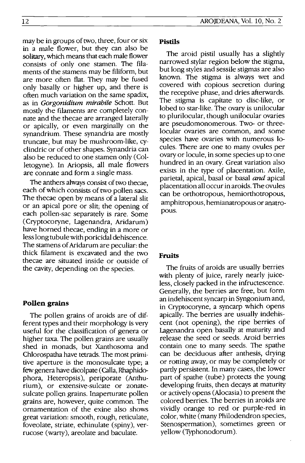may be in groups of two, three, four or six in a male flower, but they can also be solitary, which means that each male flower consists of only one stamen. The filaments of the stamens may be filiform, but are more often flat. They may be fused only basally or higher up, and there is often much variation on the same spadix, as in Gorgonidium mirabile Schott. But mostly the filaments are completely connate and the thecae are arranged laterally or apically, or even marginally on the synandrium. These synandria are mostly truncate, but may be mushroom-like, cyclindric or of other shapes. Synandria can also be reduced to one stamen only (Colletogyne). In Ariopsis, all male flowers are connate and form a single mass.

The anthers always consist of two thecae, each of which consists of two pollen sacs. The thecae open by means of a lateral slit or an apical pore or slit; the opening of each pollen-sac separately is rare, Some (Cryptocoryne, Lagenandra, Aridarum) have horned thecae, ending in a more or less long tubule with poricidal dehiscence. The stamens of Aridarum are peculiar: the thick filament is excavated and the two thecae are situated inside or outside of the cavity, depending on the species.

### **Pollen grains**

The pollen grains of aroids are of different types and their morphology is very useful for the classification of genera or higher taxa, The pollen grains are usually shed in monads, but Xanthosoma and Chlorospatha have tetrads. The most primitive aperture is the monosulcate type; a few genera have dicolpate (Calla, Rhaphidophora, Heteropsis), periporate (Anthurium), or extensive-sulcate or zonatesulcate pollen grains. Inaperturate pollen grains are, however, quite common. The ornamentation of the exine also shows great variation: smooth, rough, reticulate, foveolate, striate, echinulate (spiny), verrucose (warty), areolate and baculate,

#### **Pistils**

The aroid pistil usually has a slightly narrowed stylar region below the stigma, but long styles and sessile stigmas are also known. The stigma is always wet and covered with copious secretion during the receptive phase, and dries afterwards. The stigma is capitate to disc-like, or lobed to star-like, The ovary is unilocular to plurilocular, though unilocular ovaries are pseudomonomerous, Two- or threelocular ovaries are common, and some species have ovaries with numerous 10 cules, There are one to many ovules per ovary or locule, in some species up to one hundred in an ovary. Great variation also exists in the type of placentation, Axile, parietal, apical, basal or basal *and* apical placentation all occur in aroids. The ovules can be orthotropous, hemiorthotropous, amphitropous, hemianatropous or anatropous.

#### **Fruits**

The fruits of aroids are usually berries with plenty of juice, rarely nearly juiceless, closely packed in the infructescence, Generally, the berries are free, but form an indehiscent syncarp in Syngonium and, in Cryptocoryne, a syncarp which opens apically. The berries are usually indehiscent (not opening), the ripe berries of Lagenandra open basally at maturity and release the seed or seeds. Aroid berries contain one to many seeds. The spathe can be deciduous after anthesis, drying or rotting away, or may be completely or partly persistent, In many cases, the lower part of spathe (tube) protects the young developing fruits, then decays at maturity or actively opens (A1ocasia) to present the colored berries, The berries in aroids are vividly orange to red or purple-red in color, white (many Philodendron species, Stenospermation), sometimes green or yellow (Typhonodorum),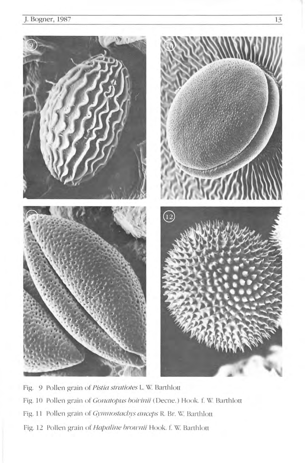

Fig. 9 Pollen grain of Pistia stratiotes L. W. Barthlott Fig. 10 Pollen grain of Gonatopus boivinii (Decne.) Hook. f. W. Barthlott Fig. 11 Pollen grain of Gymnostachys anceps R. Br. W. Barthlott Fig. 12 Pollen grain of Hapaline brownii Hook. f. W. Barthlott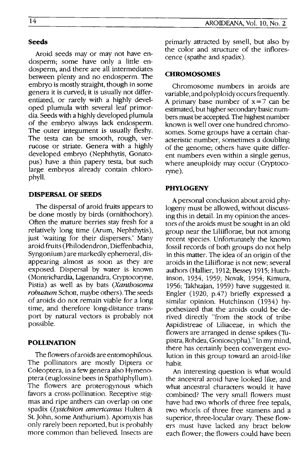Aroid seeds may or may not have endosperm; some have only a little endosperm, and there are all intermediates between plenty and no endosperm. The embryo is mostly straight, though in some genera it is curved; it is usually not differentiated, or rarely with a highly developed plumula with several leaf primordia. Seeds with a highly developed plumula of the embryo always lack endosperm. The outer integument is usually fleshy. The testa can be smooth, rough, verrucose or striate. Genera with a highly developed embryo (Nephthytis, Gonatopus) have a thin papery testa, but such large embryos already contain chlorophyll.

#### **DISPERSAL OF SEEDS**

The dispersal of aroid fruits appears to be done mostly by birds (ornithochory). Often the mature berries stay fresh for a relatively long time (Arum, Nephthytis), just 'waiting for their dispersers.' Many aroid fruits (Philodendron, Dieffenbachia, Syngonium) are markedly ephemeral, disappearing almost as soon as they are exposed. Dispersal by water is known (Montrichardia, Lagenandra, Cryptocoryne, Pistia) as well as by bats (Xanthosoma *robustum* Schott, maybe others). The seeds of aroids do not remain viable for a long time, and therefore long-distance transport by natural vectors is probably not possible.

### **POLLINATION**

The flowers of aroids are entomophilous. The pollinators are mostly Diptera or Coleoptera, in a few genera also Hymenoptera (euglossine bees in Spathiphyllum). The flowers are proterogynous which favors a cross-pollination. Receptive stigmas and ripe anthers can overlap on one spadix *(Lysichiton americanus* Hulten & St. John, some Anthurium). Apomyxis has only rarely been reported, but is probably more common than believed. Insects are primarly attracted by smell, but also by the color and structure of the inflorescence (spathe and spadix).

#### **CHROMOSOMES**

Chromosome numbers in aroids are variable, and polyploidy occurs frequently. A primary base number of  $x = 7$  can be estimated, but higher secondary basic numbers must be accepted. The highest number known is well over one hundred chromosomes. Some groups have a certain characteristic number, sometimes a doubling of the genome; others have quite different numbers even within a single genus, where aneuploidy may occur (Cryptocoryne).

#### **PHYLOGENY**

A personal conclusion about aroid phylogeny must be allowed, without discussing this in detail. In my opinion the ancestors of the aroids must be sought in an old group near the Liliiflorae, but not among recent species. Unfortunately the known fossil records of both groups do not help in this matter. The idea of an origin of the aroids in the Liliiflorae is not new; several authors (Hallier, 1912; Bessey 1915; Hutchinson, 1934, 1959; Novak, 1954; Kimura, 1956; Takhtajan, 1959) have suggested it. Engler (1920, p.47) briefly expressed a similar opinion. Hutchinson (1934) hypothesized that the aroids could be derived directly "from the stock of tribe Aspidistreae of Liliaceae, in which the flowers are arranged in dense spikes (Tupistra, Rohdea, Gonioscypha)." In my mind, there has certainly been convergent evolution in this group toward an aroid-Iike habit.

An interesting question is what would the ancestral aroid have looked like, and what ancestral characters would it have combined? The very small flowers must have had two whorls of three free tepals, two whorls of three free stamens and a superior, three-locular ovary. These flowers must have lacked any bract below each flower; the flowers could have been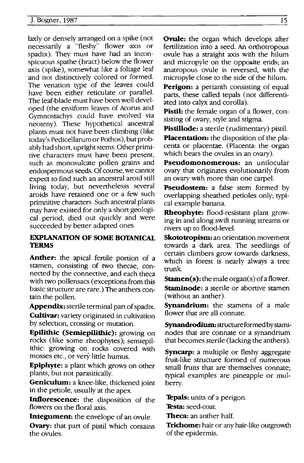laxly or densely arranged on a spike (not necessarily a "fleshy" flower axis or spadix). They must have had an inconspicuous spathe (bract) below the flower axis (spike), somewhat like a foliage leaf and not distinctively colored or formed. The venation type of the leaves could have been either reticulate or parallel. The leaf-blade must have been well developed (the ensiform leaves of Acorus and Gymnostachys could have evolved via neoteny). These hypothetical ancestral plants must not have been climbing (like today's Pedicellarum or Pothos), but probably had short, upright stems. Other primitive characters must have been present, such as monosulcate pollen grains and endospermous seeds. Of course, we cannot expect to find such an ancestral aroid still living today, but neverthelesss several aroids have retained one or a few such primnitive characters. Such ancestral plants may have existed for only a short geological period, died out quickly and were succeeded by better adapted ones.

## **EXPLANATION OF SOME BOTANICAL TERMS**

**Anther:** the apical fertile portion of a stamen, consisting of two thecae, connected by the connective, and each theca with two pollensacs (exceptions from this basic structure are rare.) The anthers contain the pollen.

**Appendix:** sterile terminal part of spadix. **Cultivar:** variety originated in cultivation by selection, crossing or mutation.

**Epllithic (Semlepllithic):** growing on rocks (like some rheophytes); semiepilithic: growing on rocks covered with mosses etc., or very little humus.

**Epiphyte:** a plant which grows on other plants, but not parasitically.

**Geniculum:** a knee-like, thickened joint in the petiole, usually at the apex.

**Inflorescence:** the disposition of the flowers on the floral axis.

**Integument:** the envelope of an ovule.

**Ovary:** that part of pistil which contains the ovules.

**Ovule:** the organ which develops after fertilization into a seed. An orthotropous ovule has a straight axis with the hilum and micropyle on the opposite ends; an anatropous ovule is reversed, with the micropyle close to the side of the hilum.

**Perigon:** a perianth consisting of equal parts, these called tepals (not differentiated into calyx and corolla).

**Pistil:** the female organ of a flower, consisting of ovary, style and stigma.

**Pistillode:** a sterile (rudimentary) pistil.

**Placentation:** the disposition of the placenta or placentae. (Placenta: the organ which bears the ovules in an ovary).

**Pseudomonomerous:** an unilocular ovary that originates evolutionarily from an ovary with more than one carpel.

**Pseudostem:** a false stem formed by overlapping sheathed petioles only; typical example banana.

**Rheophyte:** flood-resistant plant growing in and along swift running streams or rivers up to flood-level.

**Skototropism:** an orientation movement towards a dark area. The seedlings of certain climbers grow towards darkness, which in forest is nearly always a tree trunk.

**Stamen(s):** the male organ(s) of a flower. **Staminode:** a sterile or abortive stamen (without an anther).

**Synandrium:** the stamens of a male flower that are all connate.

Synandrodium: structure formed by staminodes that are connate or a synandrium that becomes sterile (lacking the anthers).

**Syncarp:** a multiple or fleshy aggregate fruit-like structure formed of numerous small fruits that are themselves connate; typical examples are pineapple or mulberry.

**Tepals:** units of a perigon.

**Testa:** seed-coat.

**Theca:** an anther half.

**Trichome:** hair or any hair-like outgrowth of the epidermis.